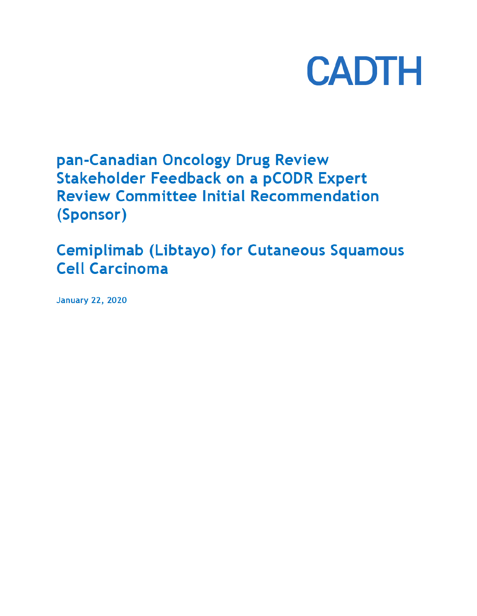

# pan-Canadian Oncology Drug Review **Stakeholder Feedback on a pCODR Expert Review Committee Initial Recommendation** (Sponsor)

**Cemiplimab (Libtayo) for Cutaneous Squamous Cell Carcinoma** 

**January 22, 2020**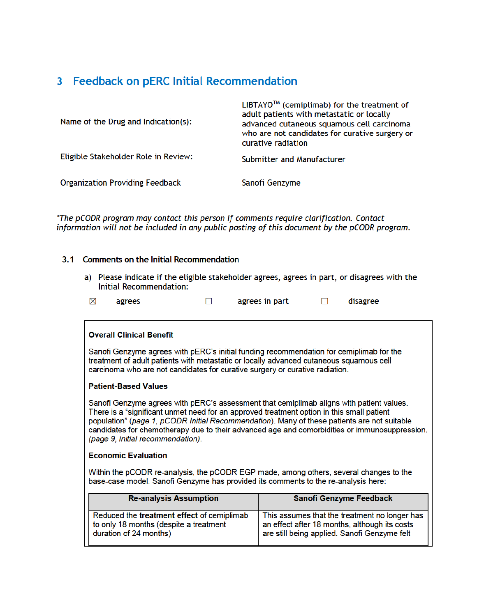# 3 Feedback on pERC Initial Recommendation

| Name of the Drug and Indication(s):    | $LIBTAYO^{1m}$ (cemiplimab) for the treatment of<br>adult patients with metastatic or locally<br>advanced cutaneous squamous cell carcinoma<br>who are not candidates for curative surgery or<br>curative radiation |
|----------------------------------------|---------------------------------------------------------------------------------------------------------------------------------------------------------------------------------------------------------------------|
| Eligible Stakeholder Role in Review:   | Submitter and Manufacturer                                                                                                                                                                                          |
| <b>Organization Providing Feedback</b> | Sanofi Genzyme                                                                                                                                                                                                      |

\*The pCODR program may contact this person if comments require clarification. Contact information will not be included in any public posting of this document by the pCODR program.

# 3.1 Comments on the Initial Recommendation

a) Please indicate if the eligible stakeholder agrees, agrees in part, or disagrees with the **Initial Recommendation:** 

| ⊠ | agrees |  | agrees in part |  | disagree |
|---|--------|--|----------------|--|----------|
|---|--------|--|----------------|--|----------|

#### **Overall Clinical Benefit**

Sanofi Genzyme agrees with pERC's initial funding recommendation for cemiplimab for the treatment of adult patients with metastatic or locally advanced cutaneous squamous cell carcinoma who are not candidates for curative surgery or curative radiation.

### **Patient-Based Values**

Sanofi Genzyme agrees with pERC's assessment that cemiplimab aligns with patient values. There is a "significant unmet need for an approved treatment option in this small patient population" (page 1, pCODR Initial Recommendation). Many of these patients are not suitable candidates for chemotherapy due to their advanced age and comorbidities or immunosuppression. (page 9, initial recommendation).

#### **Economic Evaluation**

Within the pCODR re-analysis, the pCODR EGP made, among others, several changes to the base-case model. Sanofi Genzyme has provided its comments to the re-analysis here:

| <b>Re-analysis Assumption</b>              | <b>Sanofi Genzyme Feedback</b>                |
|--------------------------------------------|-----------------------------------------------|
| Reduced the treatment effect of cemiplimab | This assumes that the treatment no longer has |
| to only 18 months (despite a treatment     | an effect after 18 months, although its costs |
| duration of 24 months)                     | are still being applied. Sanofi Genzyme felt  |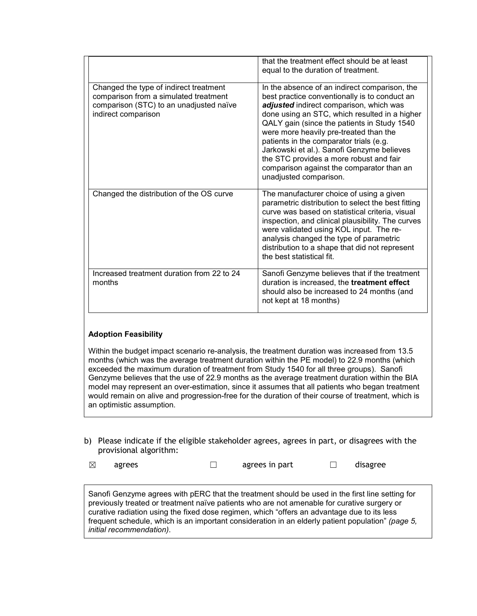|                                                                                                                                                   | that the treatment effect should be at least<br>equal to the duration of treatment.                                                                                                                                                                                                                                                                                                                                                                                                            |
|---------------------------------------------------------------------------------------------------------------------------------------------------|------------------------------------------------------------------------------------------------------------------------------------------------------------------------------------------------------------------------------------------------------------------------------------------------------------------------------------------------------------------------------------------------------------------------------------------------------------------------------------------------|
| Changed the type of indirect treatment<br>comparison from a simulated treatment<br>comparison (STC) to an unadjusted naïve<br>indirect comparison | In the absence of an indirect comparison, the<br>best practice conventionally is to conduct an<br>adjusted indirect comparison, which was<br>done using an STC, which resulted in a higher<br>QALY gain (since the patients in Study 1540<br>were more heavily pre-treated than the<br>patients in the comparator trials (e.g.<br>Jarkowski et al.). Sanofi Genzyme believes<br>the STC provides a more robust and fair<br>comparison against the comparator than an<br>unadjusted comparison. |
| Changed the distribution of the OS curve                                                                                                          | The manufacturer choice of using a given<br>parametric distribution to select the best fitting<br>curve was based on statistical criteria, visual<br>inspection, and clinical plausibility. The curves<br>were validated using KOL input. The re-<br>analysis changed the type of parametric<br>distribution to a shape that did not represent<br>the best statistical fit.                                                                                                                    |
| Increased treatment duration from 22 to 24<br>months                                                                                              | Sanofi Genzyme believes that if the treatment<br>duration is increased, the treatment effect<br>should also be increased to 24 months (and<br>not kept at 18 months)                                                                                                                                                                                                                                                                                                                           |

# **Adoption Feasibility**

Within the budget impact scenario re-analysis, the treatment duration was increased from 13.5 months (which was the average treatment duration within the PE model) to 22.9 months (which exceeded the maximum duration of treatment from Study 1540 for all three groups). Sanofi Genzyme believes that the use of 22.9 months as the average treatment duration within the BIA model may represent an over-estimation, since it assumes that all patients who began treatment would remain on alive and progression-free for the duration of their course of treatment, which is an optimistic assumption.

b) Please indicate if the eligible stakeholder agrees, agrees in part, or disagrees with the provisional algorithm:

| $\boxtimes$ | agrees | agrees in part | disagree |
|-------------|--------|----------------|----------|
|             |        |                |          |

Sanofi Genzyme agrees with pERC that the treatment should be used in the first line setting for previously treated or treatment naïve patients who are not amenable for curative surgery or curative radiation using the fixed dose regimen, which "offers an advantage due to its less frequent schedule, which is an important consideration in an elderly patient population" *(page 5, initial recommendation)*.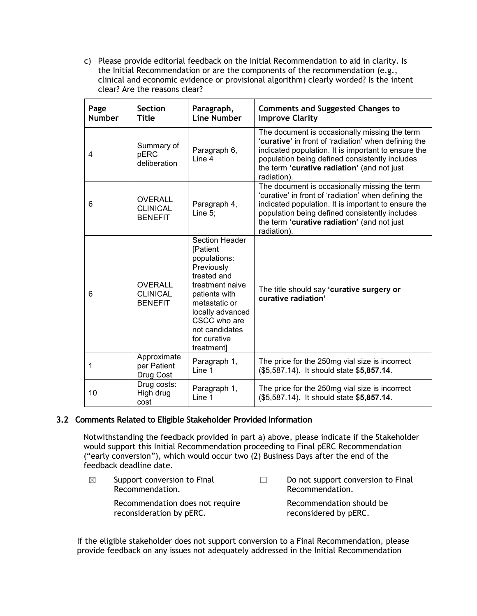c) Please provide editorial feedback on the Initial Recommendation to aid in clarity. Is the Initial Recommendation or are the components of the recommendation (e.g., clinical and economic evidence or provisional algorithm) clearly worded? Is the intent clear? Are the reasons clear?

| Page<br><b>Number</b> | <b>Section</b><br><b>Title</b>                      | Paragraph,<br><b>Line Number</b>                                                                                                                                                                                               | <b>Comments and Suggested Changes to</b><br><b>Improve Clarity</b>                                                                                                                                                                                                           |
|-----------------------|-----------------------------------------------------|--------------------------------------------------------------------------------------------------------------------------------------------------------------------------------------------------------------------------------|------------------------------------------------------------------------------------------------------------------------------------------------------------------------------------------------------------------------------------------------------------------------------|
| 4                     | Summary of<br>pERC<br>deliberation                  | Paragraph 6,<br>Line 4                                                                                                                                                                                                         | The document is occasionally missing the term<br>'curative' in front of 'radiation' when defining the<br>indicated population. It is important to ensure the<br>population being defined consistently includes<br>the term 'curative radiation' (and not just<br>radiation). |
| 6                     | <b>OVERALL</b><br><b>CLINICAL</b><br><b>BENEFIT</b> | Paragraph 4,<br>Line $5$ :                                                                                                                                                                                                     | The document is occasionally missing the term<br>'curative' in front of 'radiation' when defining the<br>indicated population. It is important to ensure the<br>population being defined consistently includes<br>the term 'curative radiation' (and not just<br>radiation). |
| 6                     | <b>OVERALL</b><br><b>CLINICAL</b><br><b>BENEFIT</b> | <b>Section Header</b><br><b>[Patient</b><br>populations:<br>Previously<br>treated and<br>treatment naive<br>patients with<br>metastatic or<br>locally advanced<br>CSCC who are<br>not candidates<br>for curative<br>treatment] | The title should say 'curative surgery or<br>curative radiation'                                                                                                                                                                                                             |
| 1                     | Approximate<br>per Patient<br>Drug Cost             | Paragraph 1,<br>Line 1                                                                                                                                                                                                         | The price for the 250mg vial size is incorrect<br>(\$5,587.14). It should state \$5,857.14.                                                                                                                                                                                  |
| 10                    | Drug costs:<br>High drug<br>cost                    | Paragraph 1,<br>Line 1                                                                                                                                                                                                         | The price for the 250mg vial size is incorrect<br>(\$5,587.14). It should state \$5,857.14.                                                                                                                                                                                  |

# **3.2 Comments Related to Eligible Stakeholder Provided Information**

Notwithstanding the feedback provided in part a) above, please indicate if the Stakeholder would support this Initial Recommendation proceeding to Final pERC Recommendation ("early conversion"), which would occur two (2) Business Days after the end of the feedback deadline date.

 $\boxtimes$  Support conversion to Final Recommendation. Recommendation does not require reconsideration by pERC. ☐ Do not support conversion to Final Recommendation. Recommendation should be reconsidered by pERC.

If the eligible stakeholder does not support conversion to a Final Recommendation, please provide feedback on any issues not adequately addressed in the Initial Recommendation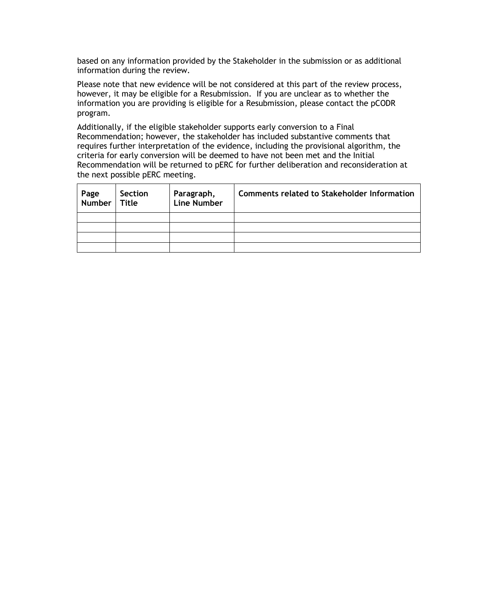based on any information provided by the Stakeholder in the submission or as additional information during the review.

Please note that new evidence will be not considered at this part of the review process, however, it may be eligible for a Resubmission. If you are unclear as to whether the information you are providing is eligible for a Resubmission, please contact the pCODR program.

Additionally, if the eligible stakeholder supports early conversion to a Final Recommendation; however, the stakeholder has included substantive comments that requires further interpretation of the evidence, including the provisional algorithm, the criteria for early conversion will be deemed to have not been met and the Initial Recommendation will be returned to pERC for further deliberation and reconsideration at the next possible pERC meeting.

| Page   Section<br>  Number   Title | Section | Paragraph,<br>Line Number | <b>Comments related to Stakeholder Information</b> |
|------------------------------------|---------|---------------------------|----------------------------------------------------|
|                                    |         |                           |                                                    |
|                                    |         |                           |                                                    |
|                                    |         |                           |                                                    |
|                                    |         |                           |                                                    |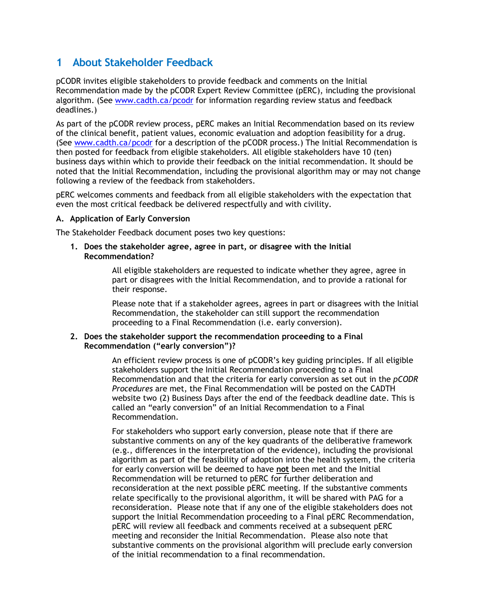# **1 About Stakeholder Feedback**

pCODR invites eligible stakeholders to provide feedback and comments on the Initial Recommendation made by the pCODR Expert Review Committee (pERC), including the provisional algorithm. (See www.cadth.ca/pcodr for information regarding review status and feedback deadlines.)

As part of the pCODR review process, pERC makes an Initial Recommendation based on its review of the clinical benefit, patient values, economic evaluation and adoption feasibility for a drug. (See www.cadth.ca/pcodr for a description of the pCODR process.) The Initial Recommendation is then posted for feedback from eligible stakeholders. All eligible stakeholders have 10 (ten) business days within which to provide their feedback on the initial recommendation. It should be noted that the Initial Recommendation, including the provisional algorithm may or may not change following a review of the feedback from stakeholders.

pERC welcomes comments and feedback from all eligible stakeholders with the expectation that even the most critical feedback be delivered respectfully and with civility.

## **A. Application of Early Conversion**

The Stakeholder Feedback document poses two key questions:

**1. Does the stakeholder agree, agree in part, or disagree with the Initial Recommendation?**

> All eligible stakeholders are requested to indicate whether they agree, agree in part or disagrees with the Initial Recommendation, and to provide a rational for their response.

Please note that if a stakeholder agrees, agrees in part or disagrees with the Initial Recommendation, the stakeholder can still support the recommendation proceeding to a Final Recommendation (i.e. early conversion).

## **2. Does the stakeholder support the recommendation proceeding to a Final Recommendation ("early conversion")?**

An efficient review process is one of pCODR's key guiding principles. If all eligible stakeholders support the Initial Recommendation proceeding to a Final Recommendation and that the criteria for early conversion as set out in the *pCODR Procedures* are met, the Final Recommendation will be posted on the CADTH website two (2) Business Days after the end of the feedback deadline date. This is called an "early conversion" of an Initial Recommendation to a Final Recommendation.

For stakeholders who support early conversion, please note that if there are substantive comments on any of the key quadrants of the deliberative framework (e.g., differences in the interpretation of the evidence), including the provisional algorithm as part of the feasibility of adoption into the health system, the criteria for early conversion will be deemed to have **not** been met and the Initial Recommendation will be returned to pERC for further deliberation and reconsideration at the next possible pERC meeting. If the substantive comments relate specifically to the provisional algorithm, it will be shared with PAG for a reconsideration. Please note that if any one of the eligible stakeholders does not support the Initial Recommendation proceeding to a Final pERC Recommendation, pERC will review all feedback and comments received at a subsequent pERC meeting and reconsider the Initial Recommendation. Please also note that substantive comments on the provisional algorithm will preclude early conversion of the initial recommendation to a final recommendation.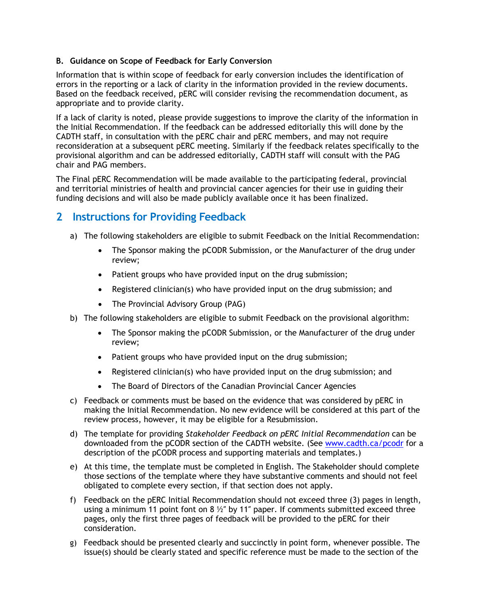# **B. Guidance on Scope of Feedback for Early Conversion**

Information that is within scope of feedback for early conversion includes the identification of errors in the reporting or a lack of clarity in the information provided in the review documents. Based on the feedback received, pERC will consider revising the recommendation document, as appropriate and to provide clarity.

If a lack of clarity is noted, please provide suggestions to improve the clarity of the information in the Initial Recommendation. If the feedback can be addressed editorially this will done by the CADTH staff, in consultation with the pERC chair and pERC members, and may not require reconsideration at a subsequent pERC meeting. Similarly if the feedback relates specifically to the provisional algorithm and can be addressed editorially, CADTH staff will consult with the PAG chair and PAG members.

The Final pERC Recommendation will be made available to the participating federal, provincial and territorial ministries of health and provincial cancer agencies for their use in guiding their funding decisions and will also be made publicly available once it has been finalized.

# **2 Instructions for Providing Feedback**

- a) The following stakeholders are eligible to submit Feedback on the Initial Recommendation:
	- The Sponsor making the pCODR Submission, or the Manufacturer of the drug under review;
	- Patient groups who have provided input on the drug submission;
	- Registered clinician(s) who have provided input on the drug submission; and
	- The Provincial Advisory Group (PAG)
- b) The following stakeholders are eligible to submit Feedback on the provisional algorithm:
	- The Sponsor making the pCODR Submission, or the Manufacturer of the drug under review;
	- Patient groups who have provided input on the drug submission;
	- Registered clinician(s) who have provided input on the drug submission; and
	- The Board of Directors of the Canadian Provincial Cancer Agencies
- c) Feedback or comments must be based on the evidence that was considered by pERC in making the Initial Recommendation. No new evidence will be considered at this part of the review process, however, it may be eligible for a Resubmission.
- d) The template for providing *Stakeholder Feedback on pERC Initial Recommendation* can be downloaded from the pCODR section of the CADTH website. (See www.cadth.ca/pcodr for a description of the pCODR process and supporting materials and templates.)
- e) At this time, the template must be completed in English. The Stakeholder should complete those sections of the template where they have substantive comments and should not feel obligated to complete every section, if that section does not apply.
- f) Feedback on the pERC Initial Recommendation should not exceed three (3) pages in length, using a minimum 11 point font on 8  $\frac{1}{2}$ " by 11" paper. If comments submitted exceed three pages, only the first three pages of feedback will be provided to the pERC for their consideration.
- g) Feedback should be presented clearly and succinctly in point form, whenever possible. The issue(s) should be clearly stated and specific reference must be made to the section of the